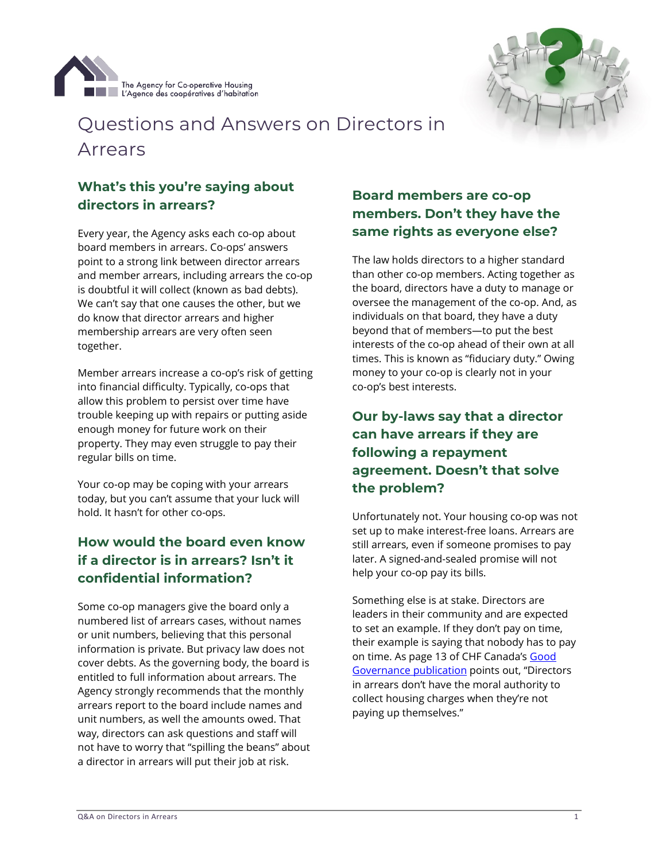



# Questions and Answers on Directors in Arrears

#### **What's this you're saying about directors in arrears?**

Every year, the Agency asks each co-op about board members in arrears. Co-ops' answers point to a strong link between director arrears and member arrears, including arrears the co-op is doubtful it will collect (known as bad debts). We can't say that one causes the other, but we do know that director arrears and higher membership arrears are very often seen together.

Member arrears increase a co-op's risk of getting into financial difficulty. Typically, co-ops that allow this problem to persist over time have trouble keeping up with repairs or putting aside enough money for future work on their property. They may even struggle to pay their regular bills on time.

Your co-op may be coping with your arrears today, but you can't assume that your luck will hold. It hasn't for other co-ops.

### **How would the board even know if a director is in arrears? Isn't it confidential information?**

Some co-op managers give the board only a numbered list of arrears cases, without names or unit numbers, believing that this personal information is private. But privacy law does not cover debts. As the governing body, the board is entitled to full information about arrears. The Agency strongly recommends that the monthly arrears report to the board include names and unit numbers, as well the amounts owed. That way, directors can ask questions and staff will not have to worry that "spilling the beans" about a director in arrears will put their job at risk.

#### **Board members are co-op members. Don't they have the same rights as everyone else?**

The law holds directors to a higher standard than other co-op members. Acting together as the board, directors have a duty to manage or oversee the management of the co-op. And, as individuals on that board, they have a duty beyond that of members—to put the best interests of the co-op ahead of their own at all times. This is known as "fiduciary duty." Owing money to your co-op is clearly not in your co-op's best interests.

## **Our by-laws say that a director can have arrears if they are following a repayment agreement. Doesn't that solve the problem?**

Unfortunately not. Your housing co-op was not set up to make interest-free loans. Arrears are still arrears, even if someone promises to pay later. A signed-and-sealed promise will not help your co-op pay its bills.

Something else is at stake. Directors are leaders in their community and are expected to set an example. If they don't pay on time, their example is saying that nobody has to pay on time. As page 13 of CHF Canada's Good [Governance](https://chfcanada.coop/wp-content/uploads/2017/04/Getting-governance-right.pdf) publication points out, "Directors in arrears don't have the moral authority to collect housing charges when they're not paying up themselves."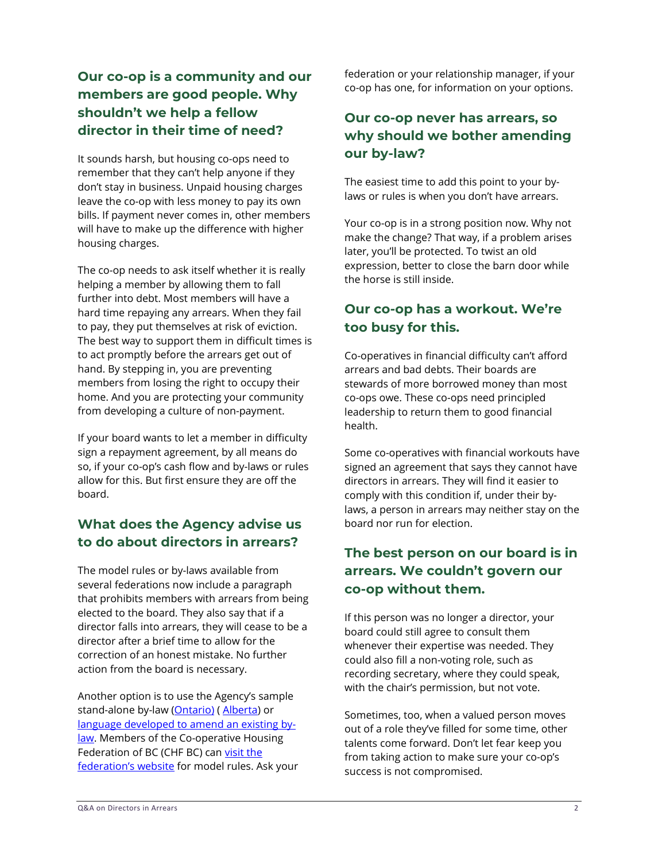#### **Our co-op is a community and our members are good people. Why shouldn't we help a fellow director in their time of need?**

It sounds harsh, but housing co-ops need to remember that they can't help anyone if they don't stay in business. Unpaid housing charges leave the co-op with less money to pay its own bills. If payment never comes in, other members will have to make up the difference with higher housing charges.

The co-op needs to ask itself whether it is really helping a member by allowing them to fall further into debt. Most members will have a hard time repaying any arrears. When they fail to pay, they put themselves at risk of eviction. The best way to support them in difficult times is to act promptly before the arrears get out of hand. By stepping in, you are preventing members from losing the right to occupy their home. And you are protecting your community from developing a culture of non-payment.

If your board wants to let a member in difficulty sign a repayment agreement, by all means do so, if your co-op's cash flow and by-laws or rules allow for this. But first ensure they are off the board.

### **What does the Agency advise us to do about directors in arrears?**

The model rules or by-laws available from several federations now include a paragraph that prohibits members with arrears from being elected to the board. They also say that if a director falls into arrears, they will cease to be a director after a brief time to allow for the correction of an honest mistake. No further action from the board is necessary.

Another option is to use the Agency's sample stand-alone by-law [\(Ontario\)](https://www.agency.coop/resources/director-arrears-sample-law-provisions-respecting-director-arrears) ([Alberta\)](https://www.agency.coop/media/454/download) or language developed [to amend an existing by](https://www.agency.coop/media/455/download)[law.](https://www.agency.coop/media/455/download) Members of the Co-operative Housing Federation of BC (CHF BC) can visit the [federation's website](https://www.chf.bc.ca/?s=Model+By-law) for model rules. Ask your federation or your relationship manager, if your co-op has one, for information on your options.

#### **Our co-op never has arrears, so why should we bother amending our by-law?**

The easiest time to add this point to your bylaws or rules is when you don't have arrears.

Your co-op is in a strong position now. Why not make the change? That way, if a problem arises later, you'll be protected. To twist an old expression, better to close the barn door while the horse is still inside.

### **Our co-op has a workout. We're too busy for this.**

Co-operatives in financial difficulty can't afford arrears and bad debts. Their boards are stewards of more borrowed money than most co-ops owe. These co-ops need principled leadership to return them to good financial health.

Some co-operatives with financial workouts have signed an agreement that says they cannot have directors in arrears. They will find it easier to comply with this condition if, under their bylaws, a person in arrears may neither stay on the board nor run for election.

#### **The best person on our board is in arrears. We couldn't govern our co-op without them.**

If this person was no longer a director, your board could still agree to consult them whenever their expertise was needed. They could also fill a non-voting role, such as recording secretary, where they could speak, with the chair's permission, but not vote.

Sometimes, too, when a valued person moves out of a role they've filled for some time, other talents come forward. Don't let fear keep you from taking action to make sure your co-op's success is not compromised.